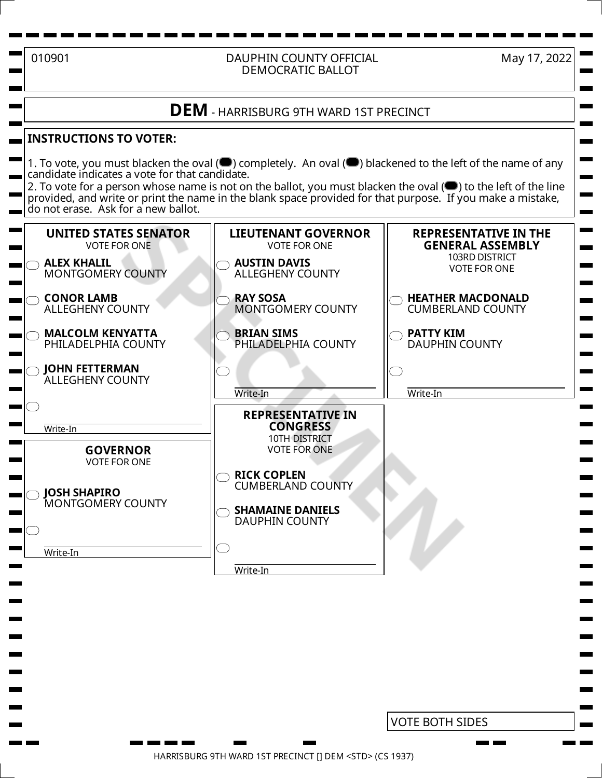## 010901 DAUPHIN COUNTY OFFICIAL DEMOCRATIC BALLOT

May 17, 2022

## **DEM** - HARRISBURG 9TH WARD 1ST PRECINCT

## **INSTRUCTIONS TO VOTER:**

1. To vote, you must blacken the oval ( $\blacksquare$ ) completely. An oval ( $\blacksquare$ ) blackened to the left of the name of any candidate indicates a vote for that candidate.

2. To vote for a person whose name is not on the ballot, you must blacken the oval  $(\bullet)$  to the left of the line provided, and write or print the name in the blank space provided for that purpose. If you make a mistake, do not erase. Ask for a new ballot.